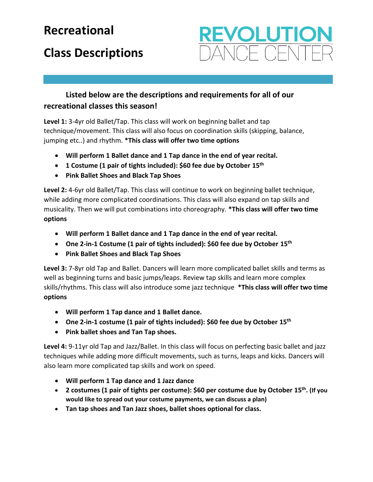## **Recreational**

## **Class Descriptions**

## **EVOLUTIO** JOE OFNIT

## **Listed below are the descriptions and requirements for all of our recreational classes this season!**

**Level 1:** 3-4yr old Ballet/Tap. This class will work on beginning ballet and tap technique/movement. This class will also focus on coordination skills (skipping, balance, jumping etc..) and rhythm. **\*This class will offer two time options**

- **Will perform 1 Ballet dance and 1 Tap dance in the end of year recital.**
- **1 Costume (1 pair of tights included): \$60 fee due by October 15th**
- **Pink Ballet Shoes and Black Tap Shoes**

**Level 2:** 4-6yr old Ballet/Tap. This class will continue to work on beginning ballet technique, while adding more complicated coordinations. This class will also expand on tap skills and musicality. Then we will put combinations into choreography. **\*This class will offer two time options**

- **Will perform 1 Ballet dance and 1 Tap dance in the end of year recital.**
- **One 2-in-1 Costume (1 pair of tights included): \$60 fee due by October 15th**
- **Pink Ballet Shoes and Black Tap Shoes**

**Level 3:** 7-8yr old Tap and Ballet. Dancers will learn more complicated ballet skills and terms as well as beginning turns and basic jumps/leaps. Review tap skills and learn more complex skills/rhythms. This class will also introduce some jazz technique **\*This class will offer two time options**

- **Will perform 1 Tap dance and 1 Ballet dance.**
- **One 2-in-1 costume (1 pair of tights included): \$60 fee due by October 15th**
- **Pink ballet shoes and Tan Tap shoes.**

**Level 4:** 9-11yr old Tap and Jazz/Ballet. In this class will focus on perfecting basic ballet and jazz techniques while adding more difficult movements, such as turns, leaps and kicks. Dancers will also learn more complicated tap skills and work on speed.

- **Will perform 1 Tap dance and 1 Jazz dance**
- **2 costumes (1 pair of tights per costume): \$60 per costume due by October 15th . (If you would like to spread out your costume payments, we can discuss a plan)**
- **Tan tap shoes and Tan Jazz shoes, ballet shoes optional for class.**